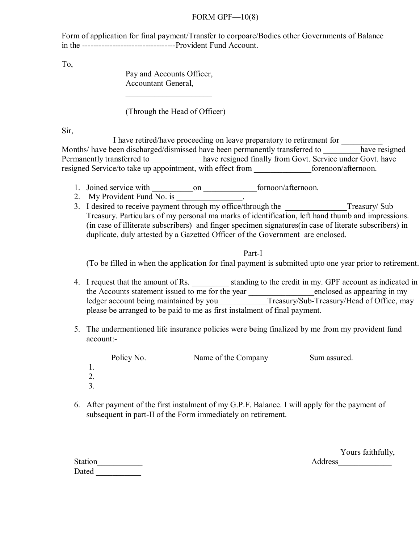## FORM GPF $-10(8)$

Form of application for final payment/Transfer to corpoare/Bodies other Governments of Balance in the ----------------------------------Provident Fund Account.

To,

 Pay and Accounts Officer, Accountant General,

(Through the Head of Officer)

Sir,

I have retired/have proceeding on leave preparatory to retirement for Months/ have been discharged/dismissed have been permanently transferred to have resigned Permanently transferred to \_\_\_\_\_\_\_\_\_\_\_\_\_ have resigned finally from Govt. Service under Govt. have resigned Service/to take up appointment, with effect from \_\_\_\_\_\_\_\_\_\_\_\_\_\_forenoon/afternoon.

- 1. Joined service with \_\_\_\_\_\_\_\_\_\_on \_\_\_\_\_\_\_\_\_\_\_\_\_fornoon/afternoon.
- 2. My Provident Fund  $\overline{No.}$  is  $\overline{\phantom{a}}$

 $\mathcal{L}_\text{max}$  and  $\mathcal{L}_\text{max}$  and  $\mathcal{L}_\text{max}$  and  $\mathcal{L}_\text{max}$ 

3. I desired to receive payment through my office/through the \_\_\_\_\_\_\_\_\_\_\_\_\_\_\_\_Treasury/ Sub Treasury. Particulars of my personal ma marks of identification, left hand thumb and impressions. (in case of illiterate subscribers) and finger specimen signatures(in case of literate subscribers) in duplicate, duly attested by a Gazetted Officer of the Government are enclosed.

Part-I

(To be filled in when the application for final payment is submitted upto one year prior to retirement.

- 4. I request that the amount of Rs. \_\_\_\_\_\_\_\_\_ standing to the credit in my. GPF account as indicated in the Accounts statement issued to me for the year enclosed as appearing in my ledger account being maintained by you Treasury/Sub-Treasury/Head of Office, may please be arranged to be paid to me as first instalment of final payment.
- 5. The undermentioned life insurance policies were being finalized by me from my provident fund account:-

| Policy No. | Name of the Company | Sum assured. |
|------------|---------------------|--------------|
|            |                     |              |
|            |                     |              |
|            |                     |              |
|            |                     |              |

6. After payment of the first instalment of my G.P.F. Balance. I will apply for the payment of subsequent in part-II of the Form immediately on retirement.

Yours faithfully,

Dated  $\Box$ 

Station\_\_\_\_\_\_\_\_\_\_\_ Address\_\_\_\_\_\_\_\_\_\_\_\_\_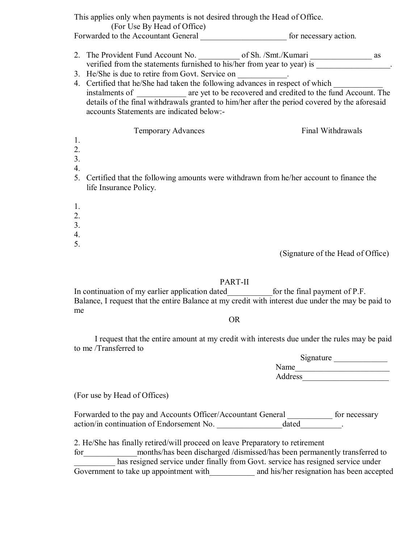|                                          | This applies only when payments is not desired through the Head of Office.<br>(For Use By Head of Office)                                                                                                                                                                                                                                                                                                                                                                                                                                 | for necessary action. |  |
|------------------------------------------|-------------------------------------------------------------------------------------------------------------------------------------------------------------------------------------------------------------------------------------------------------------------------------------------------------------------------------------------------------------------------------------------------------------------------------------------------------------------------------------------------------------------------------------------|-----------------------|--|
|                                          | 2. The Provident Fund Account No. 6. 6 of Sh. /Smt./Kumari exercise of Sh. in the statements furnished to his/her from year to year) is example.<br>3. He/She is due to retire from Govt. Service on __________.<br>4. Certified that he/She had taken the following advances in respect of which<br>instalments of _________ are yet to be recovered and credited to the fund Account. The<br>details of the final withdrawals granted to him/her after the period covered by the aforesaid<br>accounts Statements are indicated below:- |                       |  |
| 1.<br>2.<br>3.<br>4.<br>5.               | <b>Temporary Advances</b><br>Certified that the following amounts were withdrawn from he/her account to finance the<br>life Insurance Policy.                                                                                                                                                                                                                                                                                                                                                                                             | Final Withdrawals     |  |
| 1.<br>2.<br>3.<br>$\overline{4}$ .<br>5. |                                                                                                                                                                                                                                                                                                                                                                                                                                                                                                                                           |                       |  |

(Signature of the Head of Office)

## PART-II

In continuation of my earlier application dated for the final payment of P.F. Balance, I request that the entire Balance at my credit with interest due under the may be paid to me

## OR

 I request that the entire amount at my credit with interests due under the rules may be paid to me /Transferred to

|         | Signature |  |
|---------|-----------|--|
| Name    |           |  |
| Address |           |  |

(For use by Head of Offices)

Forwarded to the pay and Accounts Officer/Accountant General \_\_\_\_\_\_\_\_\_\_ for necessary action/in continuation of Endorsement No.  $\frac{d}{dt}$ 

2. He/She has finally retired/will proceed on leave Preparatory to retirement

for months/has been discharged /dismissed/has been permanently transferred to has resigned service under finally from Govt. service has resigned service under Government to take up appointment with and his/her resignation has been accepted